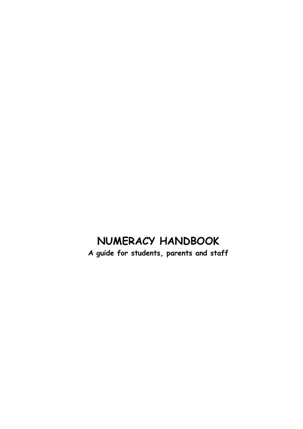# **NUMERACY HANDBOOK**

**A guide for students, parents and staff**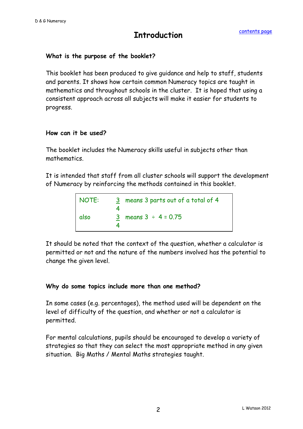### **Introduction**

#### **What is the purpose of the booklet?**

This booklet has been produced to give guidance and help to staff, students and parents. It shows how certain common Numeracy topics are taught in mathematics and throughout schools in the cluster. It is hoped that using a consistent approach across all subjects will make it easier for students to progress.

#### **How can it be used?**

The booklet includes the Numeracy skills useful in subjects other than mathematics.

It is intended that staff from all cluster schools will support the development of Numeracy by reinforcing the methods contained in this booklet.

| NOTE: | 3 means 3 parts out of a total of 4 |
|-------|-------------------------------------|
| also  | 3 means $3 \div 4 = 0.75$           |

It should be noted that the context of the question, whether a calculator is permitted or not and the nature of the numbers involved has the potential to change the given level.

#### **Why do some topics include more than one method?**

In some cases (e.g. percentages), the method used will be dependent on the level of difficulty of the question, and whether or not a calculator is permitted.

For mental calculations, pupils should be encouraged to develop a variety of strategies so that they can select the most appropriate method in any given situation. Big Maths / Mental Maths strategies taught.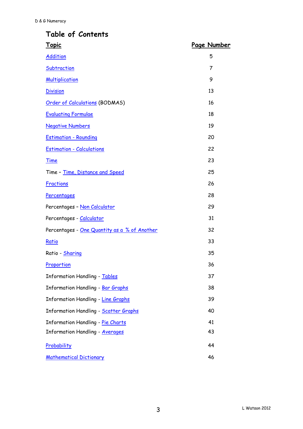### <span id="page-2-0"></span>**Table of Contents**

| <u>Topic</u>                                 | <u>Page Number</u> |
|----------------------------------------------|--------------------|
| <b>Addition</b>                              | 5                  |
| Subtraction                                  | 7                  |
| <b>Multiplication</b>                        | 9                  |
| <b>Division</b>                              | 13                 |
| Order of Calculations (BODMAS)               | 16                 |
| <b>Evaluating Formulae</b>                   | 18                 |
| <b>Negative Numbers</b>                      | 19                 |
| <b>Estimation - Rounding</b>                 | 20                 |
| <b>Estimation - Calculations</b>             | 22                 |
| <b>Time</b>                                  | 23                 |
| Time - Time, Distance and Speed              | 25                 |
| <b>Fractions</b>                             | 26                 |
| Percentages                                  | 28                 |
| Percentages - Non Calculator                 | 29                 |
| Percentages - Calculator                     | 31                 |
| Percentages - One Quantity as a % of Another | 32                 |
| Ratio                                        | 33                 |
| Ratio - Sharing                              | 35                 |
| Proportion                                   | 36                 |
| <b>Information Handling - Tables</b>         | 37                 |
| <b>Information Handling - Bar Graphs</b>     | 38                 |
| <b>Information Handling - Line Graphs</b>    | 39                 |
| <b>Information Handling - Scatter Graphs</b> | 40                 |
| Information Handling - Pie Charts            | 41                 |
| <b>Information Handling - Averages</b>       | 43                 |
| Probability                                  | 44                 |
| <b>Mathematical Dictionary</b>               | 46                 |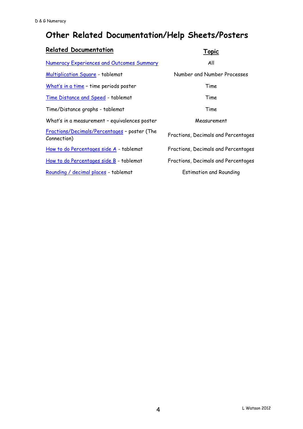# **Other Related Documentation/Help Sheets/Posters**

| <b>Related Documentation</b>                                | Topic                               |
|-------------------------------------------------------------|-------------------------------------|
| Numeracy Experiences and Outcomes Summary                   | All                                 |
| Multiplication Square - tablemat                            | Number and Number Processes         |
| What's in a time - time periods poster                      | Time                                |
| Time Distance and Speed - tablemat                          | Time                                |
| Time/Distance graphs - tablemat                             | Time                                |
| What's in a measurement - equivalences poster               | Measurement                         |
| Fractions/Decimals/Percentages - poster (The<br>Connection) | Fractions, Decimals and Percentages |
| How to do Percentages side A - tablemat                     | Fractions, Decimals and Percentages |
| How to do Percentages side B - tablemat                     | Fractions, Decimals and Percentages |
| Rounding / decimal places - tablemat                        | <b>Estimation and Rounding</b>      |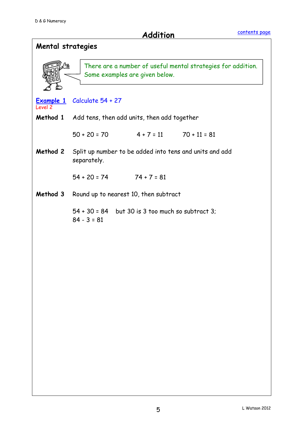<span id="page-4-0"></span>**Addition**

| Mental strategies |                                                                                                |
|-------------------|------------------------------------------------------------------------------------------------|
| (13               | There are a number of useful mental strategies for addition.<br>Some examples are given below. |
| Level 2           | <b>Example 1</b> Calculate 54 + 27                                                             |
|                   | Method 1 Add tens, then add units, then add together                                           |
|                   | $50 + 20 = 70$ $4 + 7 = 11$ $70 + 11 = 81$                                                     |
| Method 2          | Split up number to be added into tens and units and add<br>separately.                         |
|                   | $54 + 20 = 74$ $74 + 7 = 81$                                                                   |
| Method 3          | Round up to nearest 10, then subtract                                                          |
|                   | 54 + 30 = 84 but 30 is 3 too much so subtract 3;<br>$84 - 3 = 81$                              |
|                   |                                                                                                |
|                   |                                                                                                |
|                   |                                                                                                |
|                   |                                                                                                |
|                   |                                                                                                |
|                   |                                                                                                |
|                   |                                                                                                |
|                   |                                                                                                |
|                   |                                                                                                |
|                   |                                                                                                |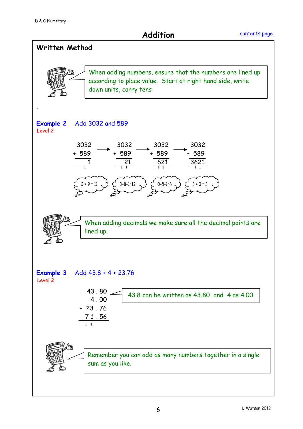**Addition**

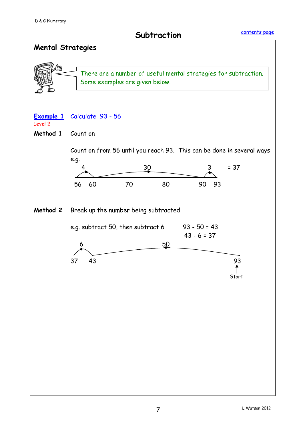### **Subtraction**

<span id="page-6-0"></span>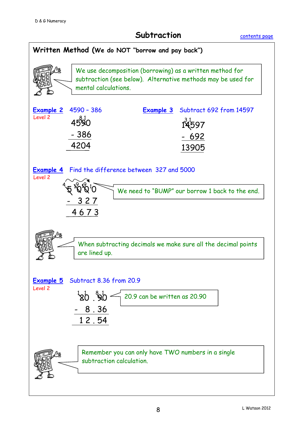#### **Subtraction**

[contents page](#page-2-0)

![](_page_7_Figure_3.jpeg)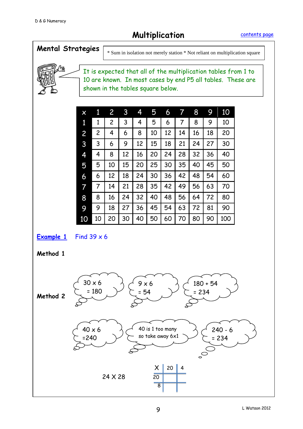**Multiplication** 

[contents page](#page-2-0)

<span id="page-8-0"></span>![](_page_8_Figure_3.jpeg)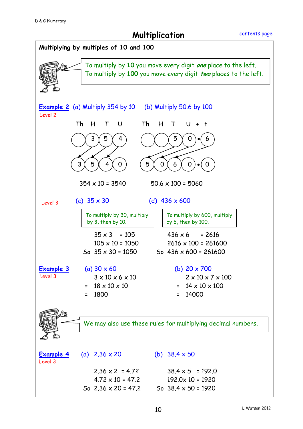**Multiplication** 

![](_page_9_Figure_3.jpeg)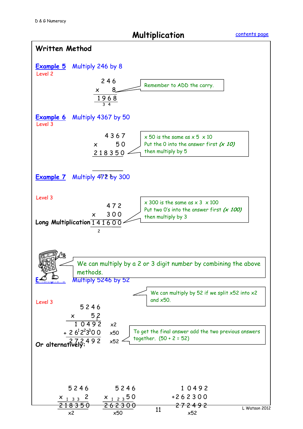**Multiplication**

![](_page_10_Figure_3.jpeg)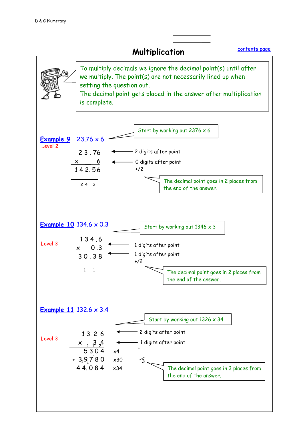![](_page_11_Figure_1.jpeg)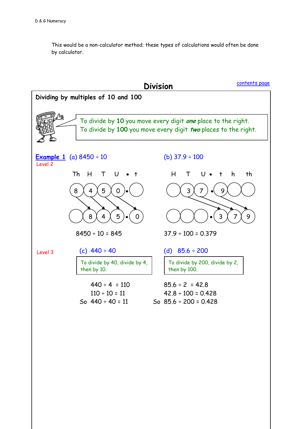This would be a non-calculator method; these types of calculations would often be done by calculator.

<span id="page-12-0"></span>![](_page_12_Figure_2.jpeg)

L Watson 2012 13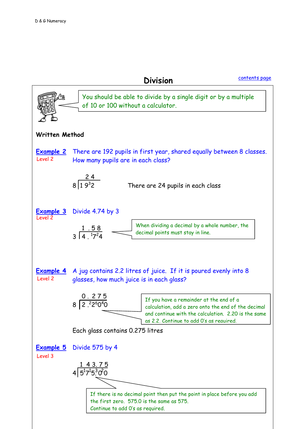**Division**

[contents page](#page-2-0)

![](_page_13_Figure_3.jpeg)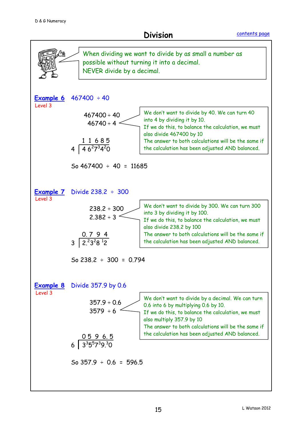**Division**

![](_page_14_Figure_3.jpeg)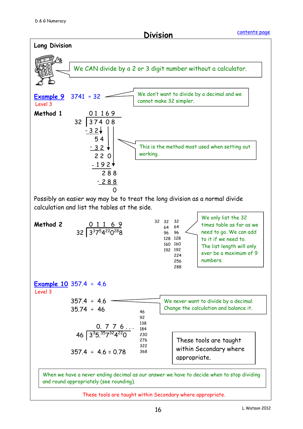**Division**

![](_page_15_Figure_3.jpeg)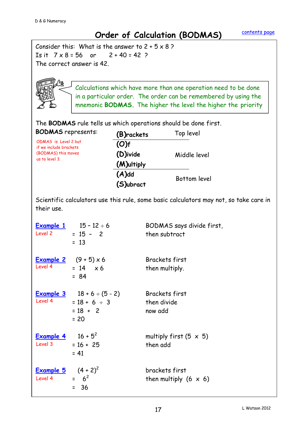## <span id="page-16-0"></span>**Order of Calculation (BODMAS)**

 The correct answer is 42. Consider this: What is the answer to  $2 + 5 \times 8$ ? Is it  $7 \times 8 = 56$  or  $2 + 40 = 42$ ?

![](_page_16_Picture_4.jpeg)

Calculations which have more than one operation need to be done in a particular order. The order can be remembered by using the mnemonic **BODMAS.** The higher the level the higher the priority

The **BODMAS** rule tells us which operations should be done first.

| <b>BODMAS</b> represents:                      | (B)rackets | Top level           |
|------------------------------------------------|------------|---------------------|
| ODMAS is Level 2 but<br>if we include brackets | (O)f       |                     |
| (BODMAS) this moves                            | (D)ivide   | Middle level        |
| us to level 3.                                 | (M)ultiply |                     |
|                                                | $(A)$ dd   |                     |
|                                                | (S)ubract  | <b>Bottom level</b> |

Scientific calculators use this rule, some basic calculators may not, so take care in their use.

| Level 2                                 | <b>Example 1</b> $15 - 12 \div 6$<br>$= 15 - 2$<br>$= 13$                           | BODMAS says divide first,<br>then subtract      |
|-----------------------------------------|-------------------------------------------------------------------------------------|-------------------------------------------------|
| Level 4                                 | Example 2 $(9 + 5) \times 6$<br>$= 14 \times 6$<br>$= 84$                           | <b>Brackets first</b><br>then multiply.         |
| Level 4                                 | <b>Example 3</b> $18 + 6 \div (5 - 2)$<br>$= 18 + 6 \div 3$<br>$= 18 + 2$<br>$= 20$ | <b>Brackets first</b><br>then divide<br>now add |
| <u>Example 4</u><br>Level 3             | $16 + 5^2$<br>$= 16 + 25$<br>$= 41$                                                 | multiply first $(5 \times 5)$<br>then add       |
| <b>Example 5</b> $(4 + 2)^2$<br>Level 4 | $= 6^2$<br>36<br>$=$                                                                | brackets first<br>then multiply $(6 \times 6)$  |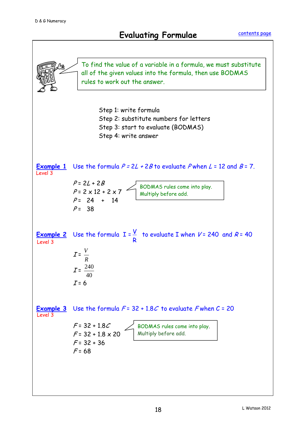## **Evaluating Formulae**

<span id="page-17-0"></span>![](_page_17_Figure_3.jpeg)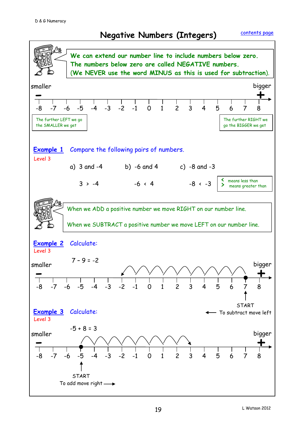<span id="page-18-0"></span>![](_page_18_Figure_3.jpeg)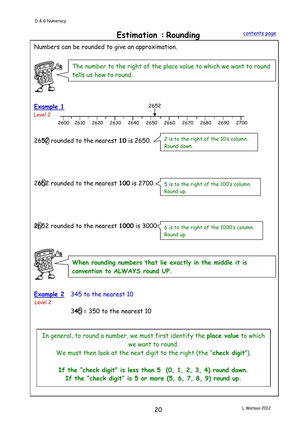## **Estimation : Rounding**

<span id="page-19-0"></span>![](_page_19_Figure_3.jpeg)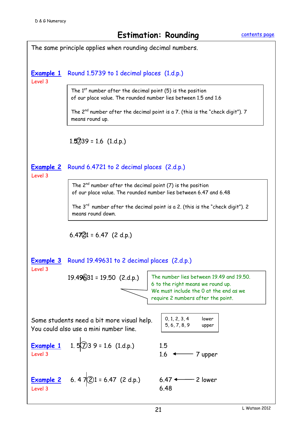![](_page_20_Figure_3.jpeg)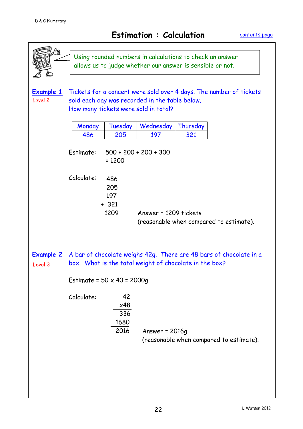<span id="page-21-0"></span>

|                             | Using rounded numbers in calculations to check an answer<br>allows us to judge whether our answer is sensible or not.                                        |
|-----------------------------|--------------------------------------------------------------------------------------------------------------------------------------------------------------|
| Example 1<br>Level 2        | Tickets for a concert were sold over 4 days. The number of tickets<br>sold each day was recorded in the table below.<br>How many tickets were sold in total? |
|                             | Tuesday<br>Wednesday<br>Thursday<br>Monday<br>486<br>205<br>321<br>197                                                                                       |
|                             | Estimate:<br>$500 + 200 + 200 + 300$<br>$= 1200$                                                                                                             |
|                             | Calculate:<br>486<br>205<br>197<br>$+321$<br>Answer = 1209 tickets<br>1209<br>(reasonable when compared to estimate).                                        |
| <u>Example 2</u><br>Level 3 | A bar of chocolate weighs 42g. There are 48 bars of chocolate in a<br>box. What is the total weight of chocolate in the box?                                 |
|                             | Estimate = $50 \times 40 = 2000g$                                                                                                                            |
|                             | 42<br>Calculate:<br>x48<br>336<br>1680<br>2016<br>Answer = $2016q$<br>(reasonable when compared to estimate).                                                |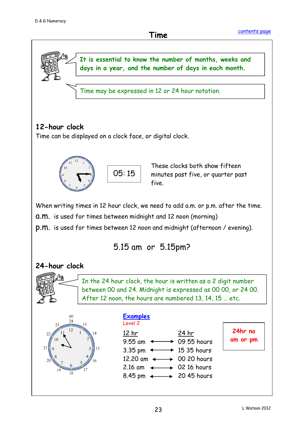<span id="page-22-0"></span>![](_page_22_Figure_3.jpeg)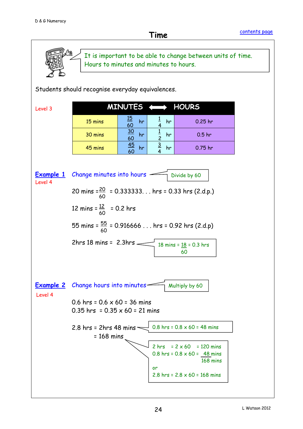![](_page_23_Figure_2.jpeg)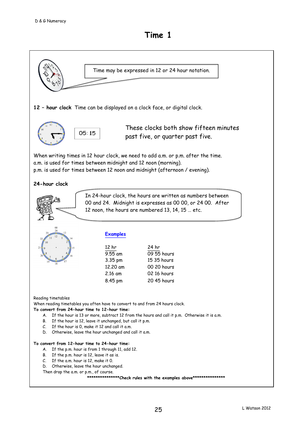<span id="page-24-0"></span>![](_page_24_Figure_2.jpeg)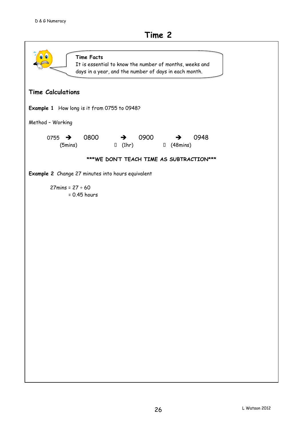![](_page_25_Figure_2.jpeg)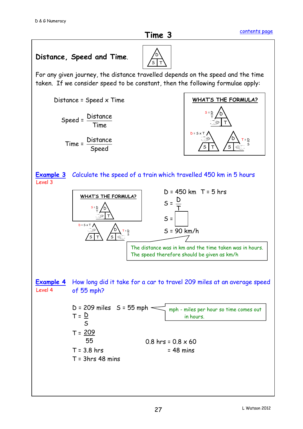D S

T

![](_page_26_Figure_3.jpeg)

For any given journey, the distance travelled depends on the speed and the time taken. If we consider speed to be constant, then the following formulae apply:

![](_page_26_Figure_5.jpeg)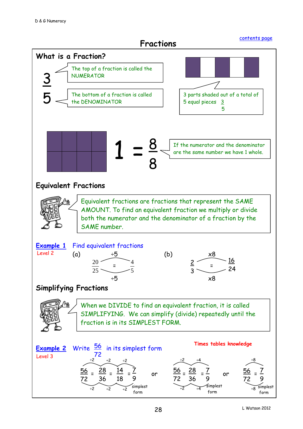<span id="page-27-0"></span>**Fractions**   $\overline{a}$ **What is a Fraction? Equivalent Fractions Example 1** Find equivalent fractions (a) ÷5 (b) x8  $\overline{25}$ 20  $\frac{1}{2}$  =  $\frac{1}{2}$ 5 4  $\frac{1}{2}$  =  $\frac{1}{2}$  $\div$ 5 x8 **Simplifying Fractions** <mark>Example 2</mark> Write  $\frac{56}{}$  in its simplest form  $= \frac{20}{20} = \frac{17}{10} = \frac{1}{20}$  or  $\frac{20}{10} = \frac{1}{20} = \frac{1}{20} = \frac{1}{20}$  or  $\frac{20}{10} =$ The top of a fraction is called the **NUMERATOR** 5 The bottom of a fraction is called the DENOMINATOR 3 parts shaded out of a total of 5 equal pieces 3 5 2 3 16 24 Equivalent fractions are fractions that represent the SAME AMOUNT. To find an equivalent fraction we multiply or divide both the numerator and the denominator of a fraction by the SAME number. When we DIVIDE to find an equivalent fraction, it is called SIMPLIFYING. We can simplify (divide) repeatedly until the fraction is in its SIMPLEST FORM. 72 56 72  $\frac{28}{5}$ 36 <u>14</u> 18 7 9 7 9 7 9 <u>56 <sub>-</sub> 28</u> 72 36 <u>56</u> 72 ÷2 ÷2 ÷2 ÷2 ÷4 ÷8 simplest simplest simplest 8 8  $1 = \frac{8}{9}$ If the numerator and the denominator are the same number we have 1 whole. [contents page](#page-2-0) Level 2 Level 3 **Times tables knowledge**

form

÷8

form

÷2 ÷4

form

÷2 ÷2 ÷2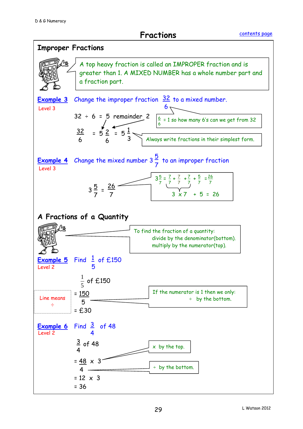**Fractions** 

![](_page_28_Figure_3.jpeg)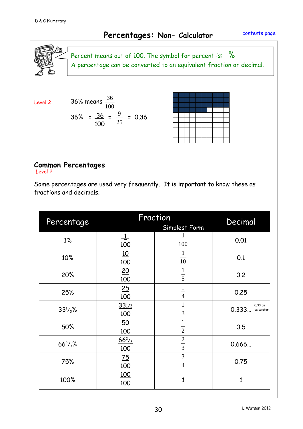## **Percentages: Non- Calculator**

<span id="page-29-0"></span>![](_page_29_Picture_3.jpeg)

Percent means out of 100. The symbol for percent is: % A percentage can be converted to an equivalent fraction or decimal.

Level 2

36% means 
$$
\frac{36}{100}
$$
  
36% =  $\frac{36}{100} = \frac{9}{25} = 0.36$ 

#### **Common Percentages**

Level 2

Some percentages are used very frequently. It is important to know these as fractions and decimals.

| Percentage      |                         | Fraction<br>Simplest Form | Decimal                        |
|-----------------|-------------------------|---------------------------|--------------------------------|
| $1\%$           | $\frac{1}{ }$<br>100    | 1<br>100                  | 0.01                           |
| 10%             | 10<br>100               | $\overline{10}$           | 0.1                            |
| 20%             | 20<br>100               | $\frac{1}{5}$             | 0.2                            |
| 25%             | $\underline{25}$<br>100 | $\frac{1}{4}$             | 0.25                           |
| $33^{1/3}$ %    | $33^{1/3}$<br>100       | $\frac{1}{3}$             | 0.33 on<br>0.333<br>calculator |
| 50%             | $\overline{50}$<br>100  | $\frac{1}{2}$             | 0.5                            |
| $66^{2}/_{3}\%$ | $\frac{66^2}{3}$<br>100 | $rac{2}{3}$               | 0.666                          |
| 75%             | $\frac{75}{2}$<br>100   | $\frac{3}{4}$             | 0.75                           |
| 100%            | <u>100</u><br>100       | 1                         | 1                              |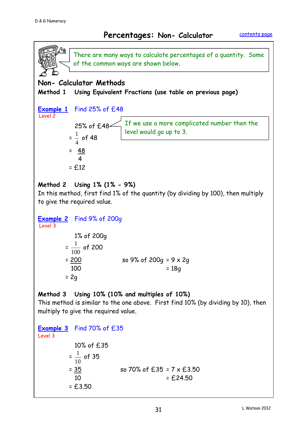#### **Percentages: Non- Calculator**

<span id="page-30-0"></span>![](_page_30_Figure_3.jpeg)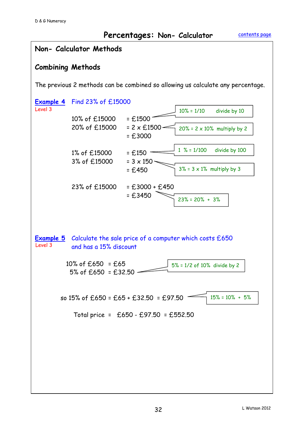#### **Percentages: Non- Calculator**

![](_page_31_Figure_3.jpeg)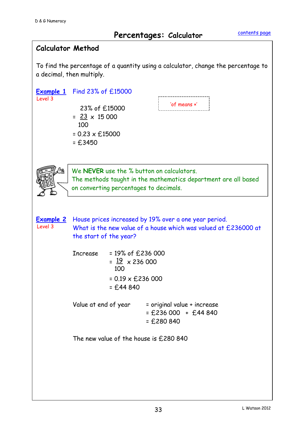#### <span id="page-32-0"></span>**Calculator Method**

 To find the percentage of a quantity using a calculator, change the percentage to a decimal, then multiply.

| Level 3 | Example 1 Find 23% of £15000<br>23% of £15000<br>$=$ $\frac{23}{15}$ $\times$ 15 000<br>100<br>$= 0.23 \times £15000$<br>$= £3450$                    |                                                                                                       | 'of means x'                          |  |  |
|---------|-------------------------------------------------------------------------------------------------------------------------------------------------------|-------------------------------------------------------------------------------------------------------|---------------------------------------|--|--|
|         | We NEVER use the % button on calculators.<br>The methods taught in the mathematics department are all based<br>on converting percentages to decimals. |                                                                                                       |                                       |  |  |
| Level 3 | <b>Example 2</b> House prices increased by 19% over a one year period.<br>the start of the year?                                                      | What is the new value of a house which was valued at £236000 at                                       |                                       |  |  |
|         | Increase                                                                                                                                              | $= 19\%$ of £236 000<br>$=$ $\frac{19}{12}$ x 236 000<br>100<br>$= 0.19 \times £236000$<br>$= £44840$ |                                       |  |  |
|         |                                                                                                                                                       | Value at end of year $=$ original value + increase                                                    | $=$ £236 000 + £44 840<br>$= £280840$ |  |  |
|         |                                                                                                                                                       | The new value of the house is £280 840                                                                |                                       |  |  |
|         |                                                                                                                                                       |                                                                                                       |                                       |  |  |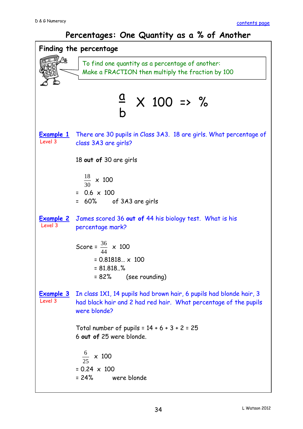#### **Percentages: One Quantity as a % of Another**

<span id="page-33-1"></span><span id="page-33-0"></span>![](_page_33_Figure_3.jpeg)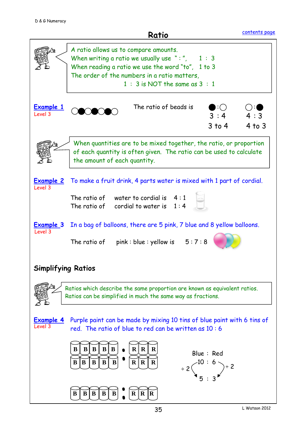![](_page_34_Figure_2.jpeg)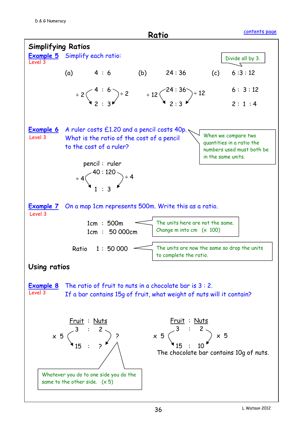![](_page_35_Figure_1.jpeg)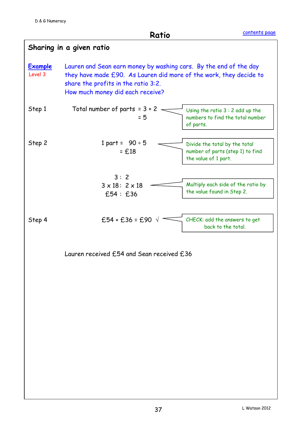<span id="page-36-0"></span>**Ratio**

|                           | Sharing in a given ratio                                                                                                                                                                                           |                                                                                           |
|---------------------------|--------------------------------------------------------------------------------------------------------------------------------------------------------------------------------------------------------------------|-------------------------------------------------------------------------------------------|
| <b>Example</b><br>Level 3 | Lauren and Sean earn money by washing cars. By the end of the day<br>they have made £90. As Lauren did more of the work, they decide to<br>share the profits in the ratio 3:2.<br>How much money did each receive? |                                                                                           |
| Step 1                    | Total number of parts = $3 + 2$<br>$= 5$                                                                                                                                                                           | Using the ratio $3:2$ add up the<br>numbers to find the total number<br>of parts.         |
| Step 2                    | 1 part = $90 \div 5$<br>$= f.18$                                                                                                                                                                                   | Divide the total by the total<br>number of parts (step 1) to find<br>the value of 1 part. |
|                           | 3:2                                                                                                                                                                                                                |                                                                                           |
|                           | $3 \times 18$ : $2 \times 18$<br>£54 : £36                                                                                                                                                                         | Multiply each side of the ratio by<br>the value found in Step 2.                          |
| Step 4                    | £54 + £36 = £90 $\sqrt{ }$                                                                                                                                                                                         | CHECK: add the answers to get<br>back to the total.                                       |
|                           | Lauren received £54 and Sean received £36                                                                                                                                                                          |                                                                                           |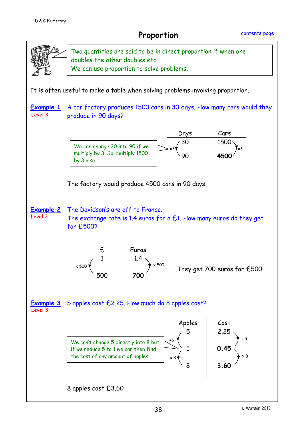**Proportion**

<span id="page-37-0"></span>![](_page_37_Figure_3.jpeg)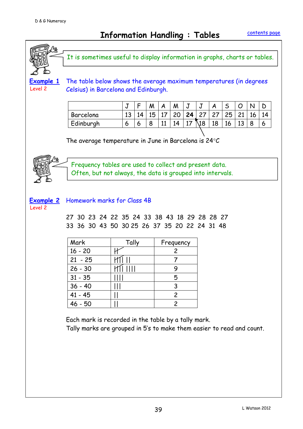<span id="page-38-0"></span>**Information Handling : Tables**

![](_page_38_Figure_3.jpeg)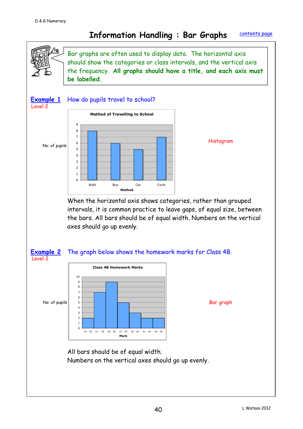#### <span id="page-39-0"></span>**Information Handling : Bar Graphs** [contents page](#page-2-0)

![](_page_39_Figure_2.jpeg)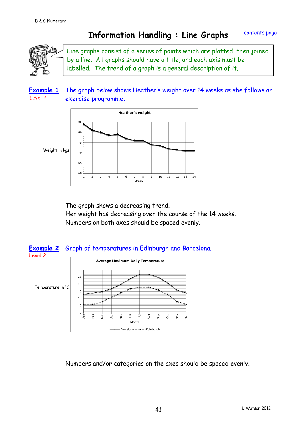N

### <span id="page-40-0"></span>**Information Handling : Line Graphs**

Line graphs consist of a series of points which are plotted, then joined by a line. All graphs should have a title, and each axis must be labelled. The trend of a graph is a general description of it.

**Example 1** The graph below shows Heather's weight over 14 weeks as she follows an exercise programme**.** Level 2

![](_page_40_Figure_5.jpeg)

The graph shows a decreasing trend.

Her weight has decreasing over the course of the 14 weeks. Numbers on both axes should be spaced evenly.

![](_page_40_Figure_8.jpeg)

Numbers and/or categories on the axes should be spaced evenly.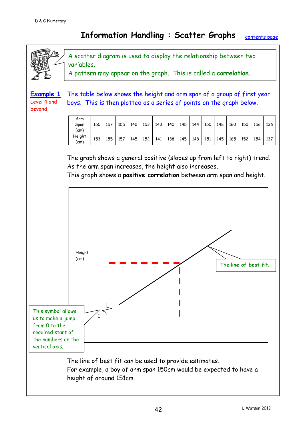#### <span id="page-41-0"></span>**Information Handling : Scatter Graphs** [contents page](#page-2-0)

![](_page_41_Figure_2.jpeg)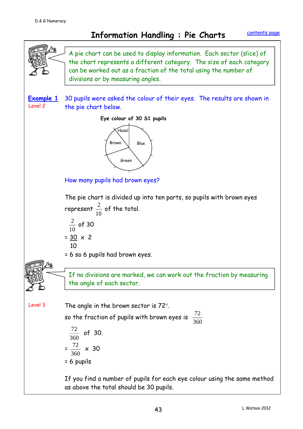<span id="page-42-0"></span>![](_page_42_Figure_3.jpeg)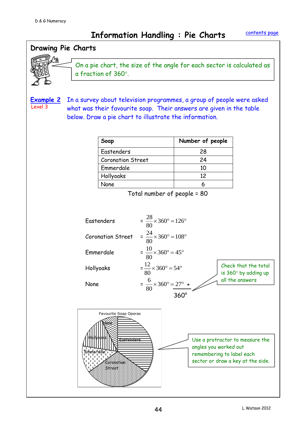**Information Handling : Pie Charts** 

![](_page_43_Figure_3.jpeg)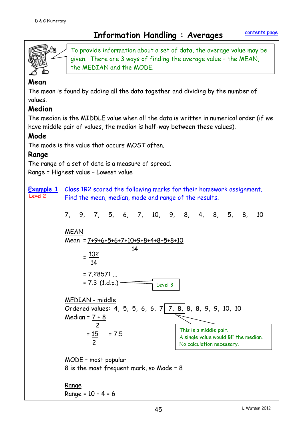## <span id="page-44-0"></span>**Information Handling : Averages**

![](_page_44_Picture_3.jpeg)

To provide information about a set of data, the average value may be given. There are 3 ways of finding the average value – the MEAN, the MEDIAN and the MODE.

#### **Mean**

The mean is found by adding all the data together and dividing by the number of values.

#### **Median**

The median is the MIDDLE value when all the data is written in numerical order (if we have middle pair of values, the median is half-way between these values).

#### **Mode**

The mode is the value that occurs MOST often.

#### **Range**

The range of a set of data is a measure of spread. Range = Highest value – Lowest value

**Example 1** Class 1R2 scored the following marks for their homework assignment. Find the mean, median, mode and range of the results. Level 2

7, 9, 7, 5, 6, 7, 10, 9, 8, 4, 8, 5, 8, 10 MEAN Mean = 7+9+6+5+6+7+10+9+8+4+8+5+8+10  $=\frac{102}{10}$  $= 7.28571$  ...  $= 7.3$  (1.d.p.) – MEDIAN - middle Ordered values: 4, 5, 5, 6, 6, 7, 7, 8, 8, 8, 9, 9, 10, 10 Median =  $7 + 8$ <u>2</u>  $= 15$  = 7.5 2 MODE – most popular 8 is the most frequent mark, so Mode = 8 Range Range = 10 – 4 = 6 14 14 This is a middle pair. A single value would BE the median. No calculation necessary. Level 3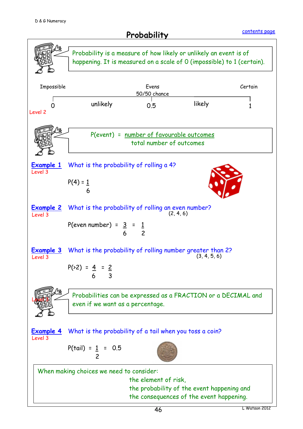<span id="page-45-0"></span>![](_page_45_Figure_2.jpeg)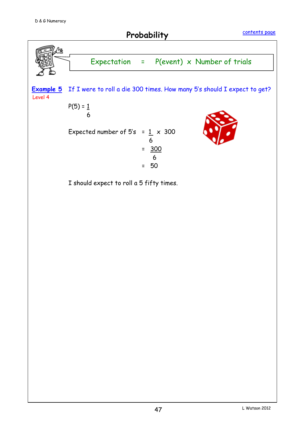![](_page_46_Figure_2.jpeg)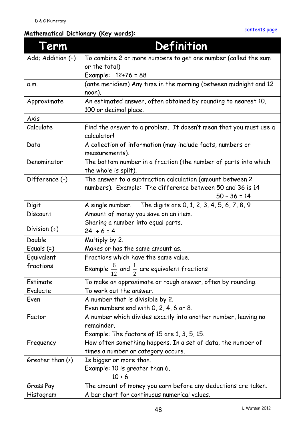### <span id="page-47-0"></span>**Mathematical Dictionary (Key words):**

| erm                    | Definition                                                                                                             |
|------------------------|------------------------------------------------------------------------------------------------------------------------|
| Add; Addition (+)      | To combine 2 or more numbers to get one number (called the sum                                                         |
|                        | or the total)                                                                                                          |
|                        | Example: 12+76 = 88                                                                                                    |
| a.m.                   | (ante meridiem) Any time in the morning (between midnight and 12<br>noon).                                             |
| Approximate            | An estimated answer, often obtained by rounding to nearest 10,<br>100 or decimal place.                                |
| Axis                   |                                                                                                                        |
| Calculate              | Find the answer to a problem. It doesn't mean that you must use a<br>calculator!                                       |
| Data                   | A collection of information (may include facts, numbers or<br>measurements).                                           |
| Denominator            | The bottom number in a fraction (the number of parts into which<br>the whole is split).                                |
| Difference (-)         | The answer to a subtraction calculation (amount between 2<br>numbers). Example: The difference between 50 and 36 is 14 |
|                        | $50 - 36 = 14$                                                                                                         |
| Digit                  | A single number.<br>The digits are 0, 1, 2, 3, 4, 5, 6, 7, 8, 9                                                        |
| Discount               | Amount of money you save on an item.                                                                                   |
| Division $(\div)$      | Sharing a number into equal parts.<br>$24 \div 6 = 4$                                                                  |
| Double                 | Multiply by 2.                                                                                                         |
| Equals $(=)$           | Makes or has the same amount as.                                                                                       |
| Equivalent             | Fractions which have the same value.                                                                                   |
| fractions              | Example $\frac{6}{12}$ and $\frac{1}{2}$ are equivalent fractions                                                      |
| Estimate               | To make an approximate or rough answer, often by rounding.                                                             |
| Evaluate               | To work out the answer.                                                                                                |
| Even                   | A number that is divisible by 2.                                                                                       |
|                        | Even numbers end with 0, 2, 4, 6 or 8.                                                                                 |
| Factor                 | A number which divides exactly into another number, leaving no                                                         |
|                        | remainder.                                                                                                             |
|                        | Example: The factors of 15 are 1, 3, 5, 15.                                                                            |
| Frequency              | How often something happens. In a set of data, the number of                                                           |
|                        | times a number or category occurs.                                                                                     |
| Greater than $(\cdot)$ | Is bigger or more than.                                                                                                |
|                        | Example: 10 is greater than 6.                                                                                         |
|                        | $10 \times 6$                                                                                                          |
| Gross Pay              | The amount of money you earn before any deductions are taken.                                                          |
| Histogram              | A bar chart for continuous numerical values.                                                                           |